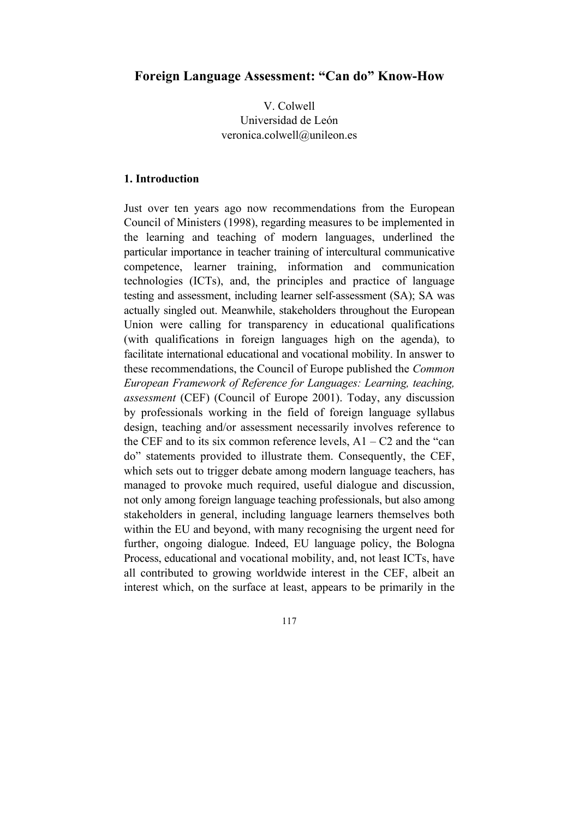# **Foreign Language Assessment: "Can do" Know-How**

V. Colwell Universidad de León veronica.colwell@unileon.es

## **1. Introduction**

Just over ten years ago now recommendations from the European Council of Ministers (1998), regarding measures to be implemented in the learning and teaching of modern languages, underlined the particular importance in teacher training of intercultural communicative competence, learner training, information and communication technologies (ICTs), and, the principles and practice of language testing and assessment, including learner self-assessment (SA); SA was actually singled out. Meanwhile, stakeholders throughout the European Union were calling for transparency in educational qualifications (with qualifications in foreign languages high on the agenda), to facilitate international educational and vocational mobility. In answer to these recommendations, the Council of Europe published the *Common European Framework of Reference for Languages: Learning, teaching, assessment* (CEF) (Council of Europe 2001). Today, any discussion by professionals working in the field of foreign language syllabus design, teaching and/or assessment necessarily involves reference to the CEF and to its six common reference levels,  $A1 - C2$  and the "can do" statements provided to illustrate them. Consequently, the CEF, which sets out to trigger debate among modern language teachers, has managed to provoke much required, useful dialogue and discussion, not only among foreign language teaching professionals, but also among stakeholders in general, including language learners themselves both within the EU and beyond, with many recognising the urgent need for further, ongoing dialogue. Indeed, EU language policy, the Bologna Process, educational and vocational mobility, and, not least ICTs, have all contributed to growing worldwide interest in the CEF, albeit an interest which, on the surface at least, appears to be primarily in the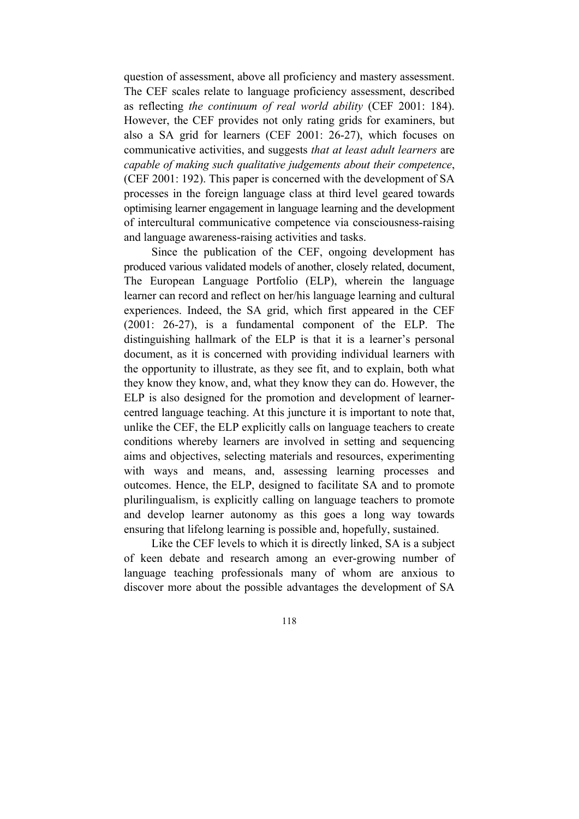question of assessment, above all proficiency and mastery assessment. The CEF scales relate to language proficiency assessment, described as reflecting *the continuum of real world ability* (CEF 2001: 184). However, the CEF provides not only rating grids for examiners, but also a SA grid for learners (CEF 2001: 26-27), which focuses on communicative activities, and suggests *that at least adult learners* are *capable of making such qualitative judgements about their competence*, (CEF 2001: 192). This paper is concerned with the development of SA processes in the foreign language class at third level geared towards optimising learner engagement in language learning and the development of intercultural communicative competence via consciousness-raising and language awareness-raising activities and tasks.

 Since the publication of the CEF, ongoing development has produced various validated models of another, closely related, document, The European Language Portfolio (ELP), wherein the language learner can record and reflect on her/his language learning and cultural experiences. Indeed, the SA grid, which first appeared in the CEF (2001: 26-27), is a fundamental component of the ELP. The distinguishing hallmark of the ELP is that it is a learner's personal document, as it is concerned with providing individual learners with the opportunity to illustrate, as they see fit, and to explain, both what they know they know, and, what they know they can do. However, the ELP is also designed for the promotion and development of learnercentred language teaching. At this juncture it is important to note that, unlike the CEF, the ELP explicitly calls on language teachers to create conditions whereby learners are involved in setting and sequencing aims and objectives, selecting materials and resources, experimenting with ways and means, and, assessing learning processes and outcomes. Hence, the ELP, designed to facilitate SA and to promote plurilingualism, is explicitly calling on language teachers to promote and develop learner autonomy as this goes a long way towards ensuring that lifelong learning is possible and, hopefully, sustained.

 Like the CEF levels to which it is directly linked, SA is a subject of keen debate and research among an ever-growing number of language teaching professionals many of whom are anxious to discover more about the possible advantages the development of SA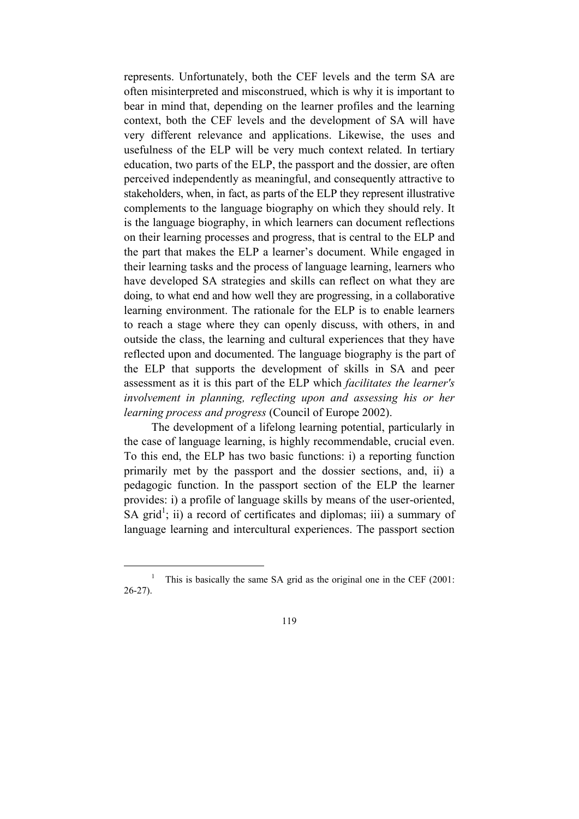represents. Unfortunately, both the CEF levels and the term SA are often misinterpreted and misconstrued, which is why it is important to bear in mind that, depending on the learner profiles and the learning context, both the CEF levels and the development of SA will have very different relevance and applications. Likewise, the uses and usefulness of the ELP will be very much context related. In tertiary education, two parts of the ELP, the passport and the dossier, are often perceived independently as meaningful, and consequently attractive to stakeholders, when, in fact, as parts of the ELP they represent illustrative complements to the language biography on which they should rely. It is the language biography, in which learners can document reflections on their learning processes and progress, that is central to the ELP and the part that makes the ELP a learner's document. While engaged in their learning tasks and the process of language learning, learners who have developed SA strategies and skills can reflect on what they are doing, to what end and how well they are progressing, in a collaborative learning environment. The rationale for the ELP is to enable learners to reach a stage where they can openly discuss, with others, in and outside the class, the learning and cultural experiences that they have reflected upon and documented. The language biography is the part of the ELP that supports the development of skills in SA and peer assessment as it is this part of the ELP which *facilitates the learner's involvement in planning, reflecting upon and assessing his or her learning process and progress* (Council of Europe 2002).

 The development of a lifelong learning potential, particularly in the case of language learning, is highly recommendable, crucial even. To this end, the ELP has two basic functions: i) a reporting function primarily met by the passport and the dossier sections, and, ii) a pedagogic function. In the passport section of the ELP the learner provides: i) a profile of language skills by means of the user-oriented, SA grid<sup>1</sup>; ii) a record of certificates and diplomas; iii) a summary of language learning and intercultural experiences. The passport section

 $\overline{\phantom{a}}$ <sup>1</sup> This is basically the same SA grid as the original one in the CEF (2001: 26-27).

<sup>119</sup>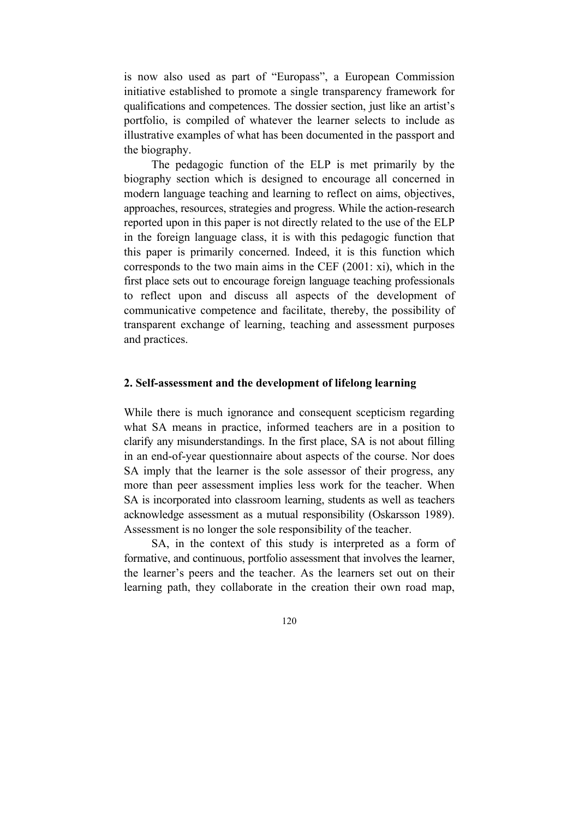is now also used as part of "Europass", a European Commission initiative established to promote a single transparency framework for qualifications and competences. The dossier section, just like an artist's portfolio, is compiled of whatever the learner selects to include as illustrative examples of what has been documented in the passport and the biography.

 The pedagogic function of the ELP is met primarily by the biography section which is designed to encourage all concerned in modern language teaching and learning to reflect on aims, objectives, approaches, resources, strategies and progress. While the action-research reported upon in this paper is not directly related to the use of the ELP in the foreign language class, it is with this pedagogic function that this paper is primarily concerned. Indeed, it is this function which corresponds to the two main aims in the CEF (2001: xi), which in the first place sets out to encourage foreign language teaching professionals to reflect upon and discuss all aspects of the development of communicative competence and facilitate, thereby, the possibility of transparent exchange of learning, teaching and assessment purposes and practices.

#### **2. Self-assessment and the development of lifelong learning**

While there is much ignorance and consequent scepticism regarding what SA means in practice, informed teachers are in a position to clarify any misunderstandings. In the first place, SA is not about filling in an end-of-year questionnaire about aspects of the course. Nor does SA imply that the learner is the sole assessor of their progress, any more than peer assessment implies less work for the teacher. When SA is incorporated into classroom learning, students as well as teachers acknowledge assessment as a mutual responsibility (Oskarsson 1989). Assessment is no longer the sole responsibility of the teacher.

 SA, in the context of this study is interpreted as a form of formative, and continuous, portfolio assessment that involves the learner, the learner's peers and the teacher. As the learners set out on their learning path, they collaborate in the creation their own road map,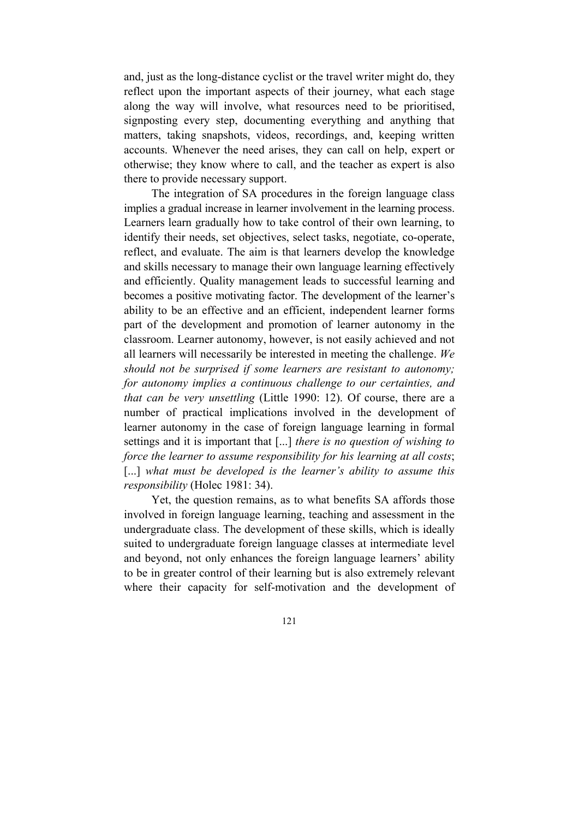and, just as the long-distance cyclist or the travel writer might do, they reflect upon the important aspects of their journey, what each stage along the way will involve, what resources need to be prioritised, signposting every step, documenting everything and anything that matters, taking snapshots, videos, recordings, and, keeping written accounts. Whenever the need arises, they can call on help, expert or otherwise; they know where to call, and the teacher as expert is also there to provide necessary support.

 The integration of SA procedures in the foreign language class implies a gradual increase in learner involvement in the learning process. Learners learn gradually how to take control of their own learning, to identify their needs, set objectives, select tasks, negotiate, co-operate, reflect, and evaluate. The aim is that learners develop the knowledge and skills necessary to manage their own language learning effectively and efficiently. Quality management leads to successful learning and becomes a positive motivating factor. The development of the learner's ability to be an effective and an efficient, independent learner forms part of the development and promotion of learner autonomy in the classroom. Learner autonomy, however, is not easily achieved and not all learners will necessarily be interested in meeting the challenge. *We should not be surprised if some learners are resistant to autonomy; for autonomy implies a continuous challenge to our certainties, and that can be very unsettling* (Little 1990: 12). Of course, there are a number of practical implications involved in the development of learner autonomy in the case of foreign language learning in formal settings and it is important that [...] *there is no question of wishing to force the learner to assume responsibility for his learning at all costs*; [...] what must be developed is the learner's ability to assume this *responsibility* (Holec 1981: 34).

 Yet, the question remains, as to what benefits SA affords those involved in foreign language learning, teaching and assessment in the undergraduate class. The development of these skills, which is ideally suited to undergraduate foreign language classes at intermediate level and beyond, not only enhances the foreign language learners' ability to be in greater control of their learning but is also extremely relevant where their capacity for self-motivation and the development of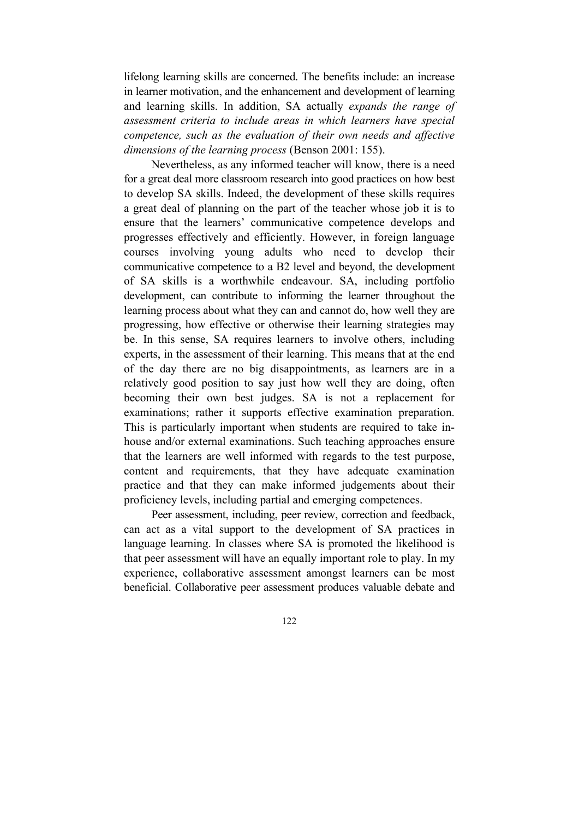lifelong learning skills are concerned. The benefits include: an increase in learner motivation, and the enhancement and development of learning and learning skills. In addition, SA actually *expands the range of assessment criteria to include areas in which learners have special competence, such as the evaluation of their own needs and affective dimensions of the learning process* (Benson 2001: 155).

 Nevertheless, as any informed teacher will know, there is a need for a great deal more classroom research into good practices on how best to develop SA skills. Indeed, the development of these skills requires a great deal of planning on the part of the teacher whose job it is to ensure that the learners' communicative competence develops and progresses effectively and efficiently. However, in foreign language courses involving young adults who need to develop their communicative competence to a B2 level and beyond, the development of SA skills is a worthwhile endeavour. SA, including portfolio development, can contribute to informing the learner throughout the learning process about what they can and cannot do, how well they are progressing, how effective or otherwise their learning strategies may be. In this sense, SA requires learners to involve others, including experts, in the assessment of their learning. This means that at the end of the day there are no big disappointments, as learners are in a relatively good position to say just how well they are doing, often becoming their own best judges. SA is not a replacement for examinations; rather it supports effective examination preparation. This is particularly important when students are required to take inhouse and/or external examinations. Such teaching approaches ensure that the learners are well informed with regards to the test purpose, content and requirements, that they have adequate examination practice and that they can make informed judgements about their proficiency levels, including partial and emerging competences.

 Peer assessment, including, peer review, correction and feedback, can act as a vital support to the development of SA practices in language learning. In classes where SA is promoted the likelihood is that peer assessment will have an equally important role to play. In my experience, collaborative assessment amongst learners can be most beneficial. Collaborative peer assessment produces valuable debate and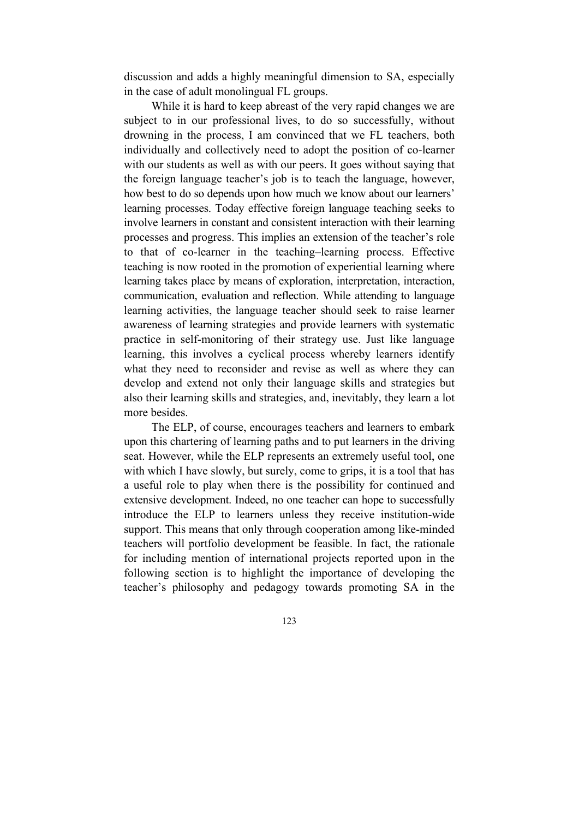discussion and adds a highly meaningful dimension to SA, especially in the case of adult monolingual FL groups.

 While it is hard to keep abreast of the very rapid changes we are subject to in our professional lives, to do so successfully, without drowning in the process, I am convinced that we FL teachers, both individually and collectively need to adopt the position of co-learner with our students as well as with our peers. It goes without saying that the foreign language teacher's job is to teach the language, however, how best to do so depends upon how much we know about our learners' learning processes. Today effective foreign language teaching seeks to involve learners in constant and consistent interaction with their learning processes and progress. This implies an extension of the teacher's role to that of co-learner in the teaching–learning process. Effective teaching is now rooted in the promotion of experiential learning where learning takes place by means of exploration, interpretation, interaction, communication, evaluation and reflection. While attending to language learning activities, the language teacher should seek to raise learner awareness of learning strategies and provide learners with systematic practice in self-monitoring of their strategy use. Just like language learning, this involves a cyclical process whereby learners identify what they need to reconsider and revise as well as where they can develop and extend not only their language skills and strategies but also their learning skills and strategies, and, inevitably, they learn a lot more besides.

 The ELP, of course, encourages teachers and learners to embark upon this chartering of learning paths and to put learners in the driving seat. However, while the ELP represents an extremely useful tool, one with which I have slowly, but surely, come to grips, it is a tool that has a useful role to play when there is the possibility for continued and extensive development. Indeed, no one teacher can hope to successfully introduce the ELP to learners unless they receive institution-wide support. This means that only through cooperation among like-minded teachers will portfolio development be feasible. In fact, the rationale for including mention of international projects reported upon in the following section is to highlight the importance of developing the teacher's philosophy and pedagogy towards promoting SA in the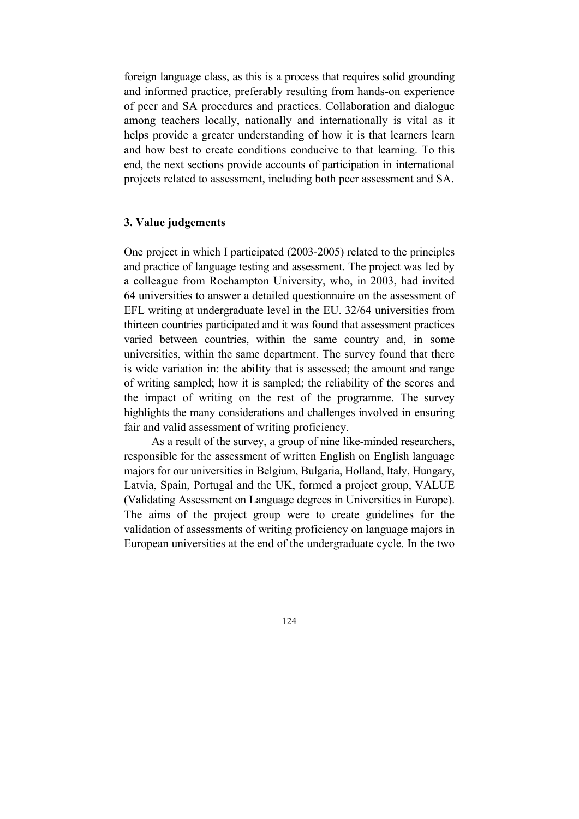foreign language class, as this is a process that requires solid grounding and informed practice, preferably resulting from hands-on experience of peer and SA procedures and practices. Collaboration and dialogue among teachers locally, nationally and internationally is vital as it helps provide a greater understanding of how it is that learners learn and how best to create conditions conducive to that learning. To this end, the next sections provide accounts of participation in international projects related to assessment, including both peer assessment and SA.

### **3. Value judgements**

One project in which I participated (2003-2005) related to the principles and practice of language testing and assessment. The project was led by a colleague from Roehampton University, who, in 2003, had invited 64 universities to answer a detailed questionnaire on the assessment of EFL writing at undergraduate level in the EU. 32/64 universities from thirteen countries participated and it was found that assessment practices varied between countries, within the same country and, in some universities, within the same department. The survey found that there is wide variation in: the ability that is assessed; the amount and range of writing sampled; how it is sampled; the reliability of the scores and the impact of writing on the rest of the programme. The survey highlights the many considerations and challenges involved in ensuring fair and valid assessment of writing proficiency.

 As a result of the survey, a group of nine like-minded researchers, responsible for the assessment of written English on English language majors for our universities in Belgium, Bulgaria, Holland, Italy, Hungary, Latvia, Spain, Portugal and the UK, formed a project group, VALUE (Validating Assessment on Language degrees in Universities in Europe). The aims of the project group were to create guidelines for the validation of assessments of writing proficiency on language majors in European universities at the end of the undergraduate cycle. In the two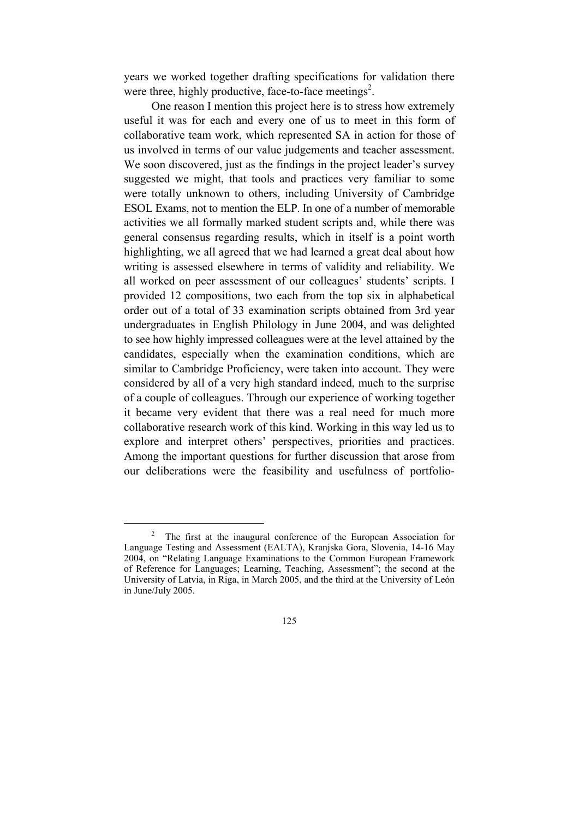years we worked together drafting specifications for validation there were three, highly productive, face-to-face meetings<sup>2</sup>.

 One reason I mention this project here is to stress how extremely useful it was for each and every one of us to meet in this form of collaborative team work, which represented SA in action for those of us involved in terms of our value judgements and teacher assessment. We soon discovered, just as the findings in the project leader's survey suggested we might, that tools and practices very familiar to some were totally unknown to others, including University of Cambridge ESOL Exams, not to mention the ELP. In one of a number of memorable activities we all formally marked student scripts and, while there was general consensus regarding results, which in itself is a point worth highlighting, we all agreed that we had learned a great deal about how writing is assessed elsewhere in terms of validity and reliability. We all worked on peer assessment of our colleagues' students' scripts. I provided 12 compositions, two each from the top six in alphabetical order out of a total of 33 examination scripts obtained from 3rd year undergraduates in English Philology in June 2004, and was delighted to see how highly impressed colleagues were at the level attained by the candidates, especially when the examination conditions, which are similar to Cambridge Proficiency, were taken into account. They were considered by all of a very high standard indeed, much to the surprise of a couple of colleagues. Through our experience of working together it became very evident that there was a real need for much more collaborative research work of this kind. Working in this way led us to explore and interpret others' perspectives, priorities and practices. Among the important questions for further discussion that arose from our deliberations were the feasibility and usefulness of portfolio-

 $\frac{1}{2}$  The first at the inaugural conference of the European Association for Language Testing and Assessment (EALTA), Kranjska Gora, Slovenia, 14-16 May 2004, on "Relating Language Examinations to the Common European Framework of Reference for Languages; Learning, Teaching, Assessment"; the second at the University of Latvia, in Riga, in March 2005, and the third at the University of León in June/July 2005.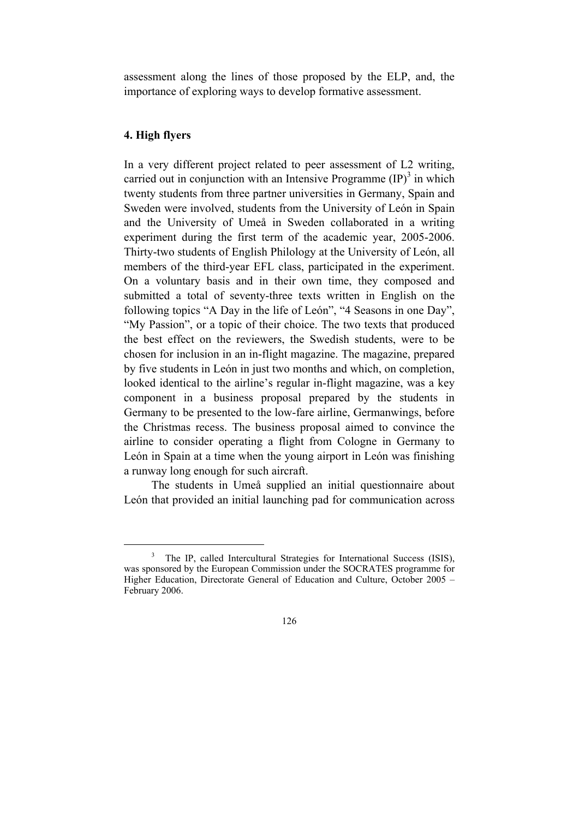assessment along the lines of those proposed by the ELP, and, the importance of exploring ways to develop formative assessment.

## **4. High flyers**

In a very different project related to peer assessment of L2 writing, carried out in conjunction with an Intensive Programme  $(IP)^3$  in which twenty students from three partner universities in Germany, Spain and Sweden were involved, students from the University of León in Spain and the University of Umeå in Sweden collaborated in a writing experiment during the first term of the academic year, 2005-2006. Thirty-two students of English Philology at the University of León, all members of the third-year EFL class, participated in the experiment. On a voluntary basis and in their own time, they composed and submitted a total of seventy-three texts written in English on the following topics "A Day in the life of León", "4 Seasons in one Day", "My Passion", or a topic of their choice. The two texts that produced the best effect on the reviewers, the Swedish students, were to be chosen for inclusion in an in-flight magazine. The magazine, prepared by five students in León in just two months and which, on completion, looked identical to the airline's regular in-flight magazine, was a key component in a business proposal prepared by the students in Germany to be presented to the low-fare airline, Germanwings, before the Christmas recess. The business proposal aimed to convince the airline to consider operating a flight from Cologne in Germany to León in Spain at a time when the young airport in León was finishing a runway long enough for such aircraft.

 The students in Umeå supplied an initial questionnaire about León that provided an initial launching pad for communication across

 <sup>3</sup> The IP, called Intercultural Strategies for International Success (ISIS), was sponsored by the European Commission under the SOCRATES programme for Higher Education, Directorate General of Education and Culture, October 2005 – February 2006.

<sup>126</sup>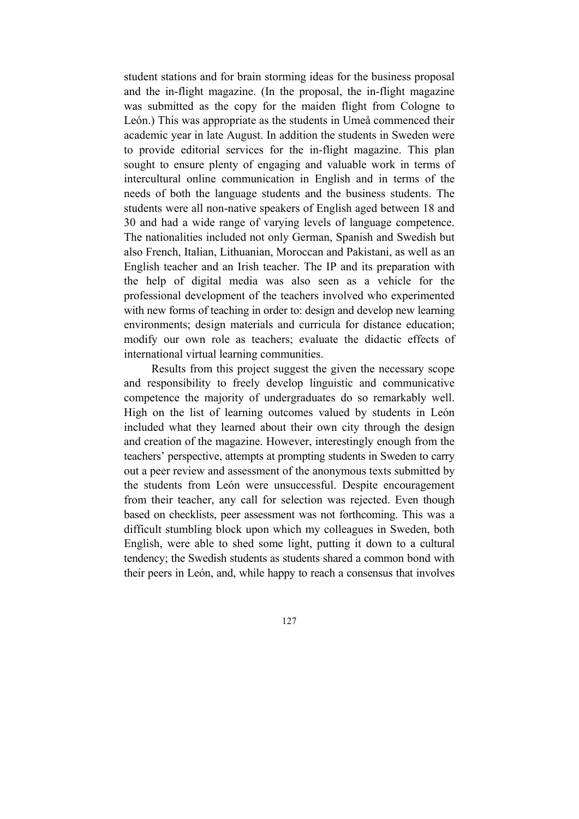student stations and for brain storming ideas for the business proposal and the in-flight magazine. (In the proposal, the in-flight magazine was submitted as the copy for the maiden flight from Cologne to León.) This was appropriate as the students in Umeå commenced their academic year in late August. In addition the students in Sweden were to provide editorial services for the in-flight magazine. This plan sought to ensure plenty of engaging and valuable work in terms of intercultural online communication in English and in terms of the needs of both the language students and the business students. The students were all non-native speakers of English aged between 18 and 30 and had a wide range of varying levels of language competence. The nationalities included not only German, Spanish and Swedish but also French, Italian, Lithuanian, Moroccan and Pakistani, as well as an English teacher and an Irish teacher. The IP and its preparation with the help of digital media was also seen as a vehicle for the professional development of the teachers involved who experimented with new forms of teaching in order to: design and develop new learning environments; design materials and curricula for distance education; modify our own role as teachers; evaluate the didactic effects of international virtual learning communities.

 Results from this project suggest the given the necessary scope and responsibility to freely develop linguistic and communicative competence the majority of undergraduates do so remarkably well. High on the list of learning outcomes valued by students in León included what they learned about their own city through the design and creation of the magazine. However, interestingly enough from the teachers' perspective, attempts at prompting students in Sweden to carry out a peer review and assessment of the anonymous texts submitted by the students from León were unsuccessful. Despite encouragement from their teacher, any call for selection was rejected. Even though based on checklists, peer assessment was not forthcoming. This was a difficult stumbling block upon which my colleagues in Sweden, both English, were able to shed some light, putting it down to a cultural tendency; the Swedish students as students shared a common bond with their peers in León, and, while happy to reach a consensus that involves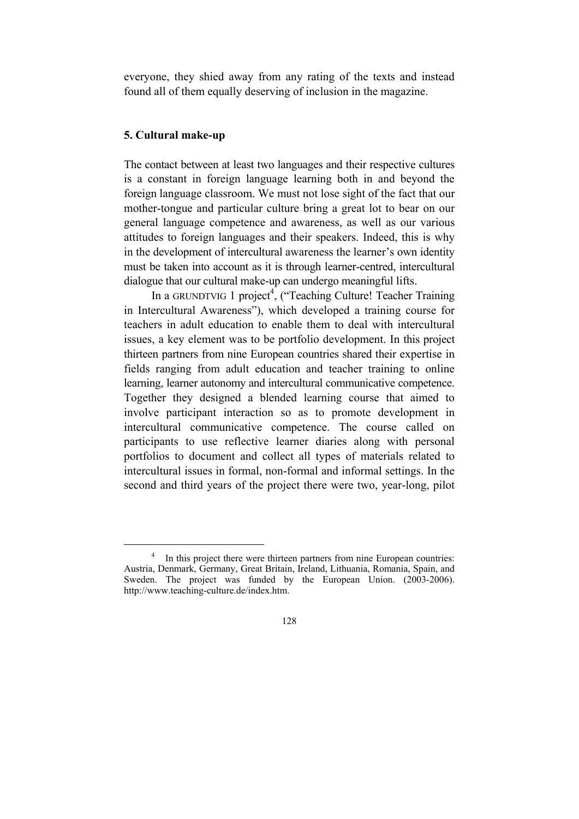everyone, they shied away from any rating of the texts and instead found all of them equally deserving of inclusion in the magazine.

# **5. Cultural make-up**

The contact between at least two languages and their respective cultures is a constant in foreign language learning both in and beyond the foreign language classroom. We must not lose sight of the fact that our mother-tongue and particular culture bring a great lot to bear on our general language competence and awareness, as well as our various attitudes to foreign languages and their speakers. Indeed, this is why in the development of intercultural awareness the learner's own identity must be taken into account as it is through learner-centred, intercultural dialogue that our cultural make-up can undergo meaningful lifts.

In a GRUNDTVIG 1 project<sup>4</sup>, ("Teaching Culture! Teacher Training in Intercultural Awareness"), which developed a training course for teachers in adult education to enable them to deal with intercultural issues, a key element was to be portfolio development. In this project thirteen partners from nine European countries shared their expertise in fields ranging from adult education and teacher training to online learning, learner autonomy and intercultural communicative competence. Together they designed a blended learning course that aimed to involve participant interaction so as to promote development in intercultural communicative competence. The course called on participants to use reflective learner diaries along with personal portfolios to document and collect all types of materials related to intercultural issues in formal, non-formal and informal settings. In the second and third years of the project there were two, year-long, pilot

 $\overline{a}$  In this project there were thirteen partners from nine European countries: Austria, Denmark, Germany, Great Britain, Ireland, Lithuania, Romania, Spain, and Sweden. The project was funded by the European Union. (2003-2006). http://www.teaching-culture.de/index.htm.

<sup>128</sup>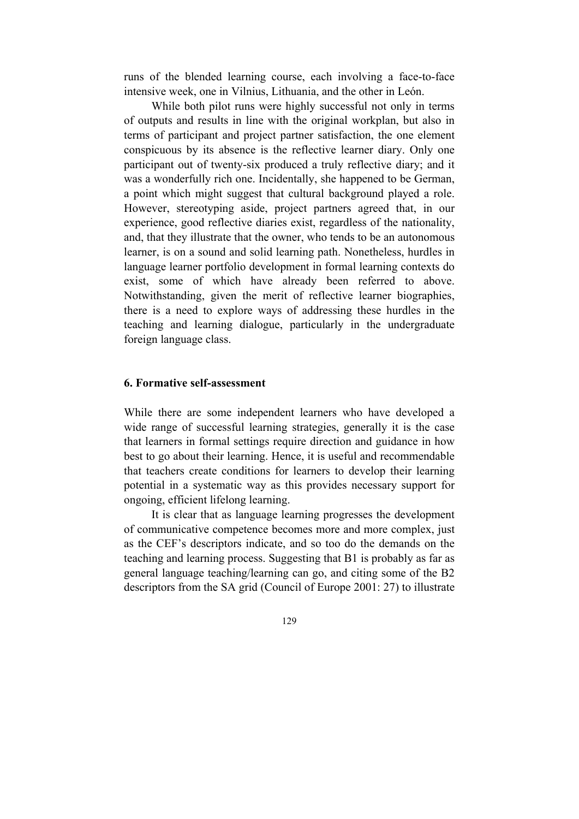runs of the blended learning course, each involving a face-to-face intensive week, one in Vilnius, Lithuania, and the other in León.

 While both pilot runs were highly successful not only in terms of outputs and results in line with the original workplan, but also in terms of participant and project partner satisfaction, the one element conspicuous by its absence is the reflective learner diary. Only one participant out of twenty-six produced a truly reflective diary; and it was a wonderfully rich one. Incidentally, she happened to be German, a point which might suggest that cultural background played a role. However, stereotyping aside, project partners agreed that, in our experience, good reflective diaries exist, regardless of the nationality, and, that they illustrate that the owner, who tends to be an autonomous learner, is on a sound and solid learning path. Nonetheless, hurdles in language learner portfolio development in formal learning contexts do exist, some of which have already been referred to above. Notwithstanding, given the merit of reflective learner biographies, there is a need to explore ways of addressing these hurdles in the teaching and learning dialogue, particularly in the undergraduate foreign language class.

#### **6. Formative self-assessment**

While there are some independent learners who have developed a wide range of successful learning strategies, generally it is the case that learners in formal settings require direction and guidance in how best to go about their learning. Hence, it is useful and recommendable that teachers create conditions for learners to develop their learning potential in a systematic way as this provides necessary support for ongoing, efficient lifelong learning.

 It is clear that as language learning progresses the development of communicative competence becomes more and more complex, just as the CEF's descriptors indicate, and so too do the demands on the teaching and learning process. Suggesting that B1 is probably as far as general language teaching/learning can go, and citing some of the B2 descriptors from the SA grid (Council of Europe 2001: 27) to illustrate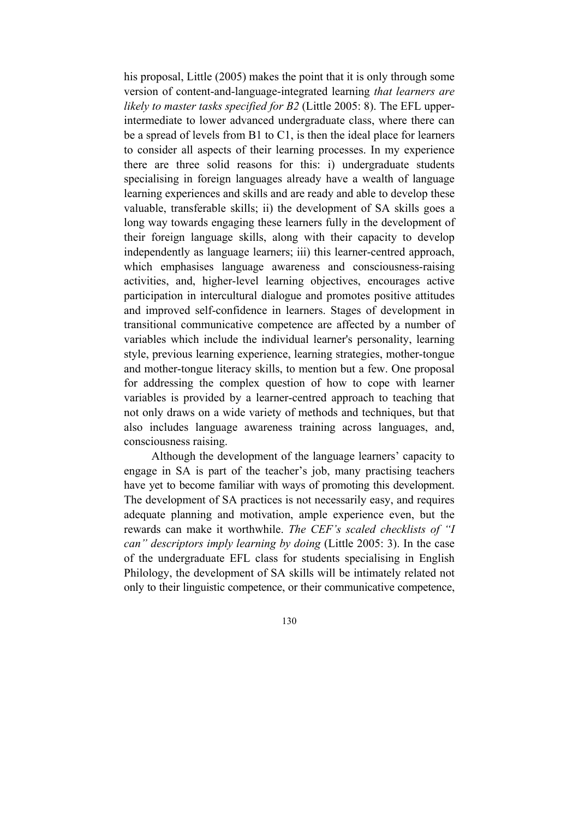his proposal, Little (2005) makes the point that it is only through some version of content-and-language-integrated learning *that learners are likely to master tasks specified for B2* (Little 2005: 8). The EFL upperintermediate to lower advanced undergraduate class, where there can be a spread of levels from B1 to C1, is then the ideal place for learners to consider all aspects of their learning processes. In my experience there are three solid reasons for this: i) undergraduate students specialising in foreign languages already have a wealth of language learning experiences and skills and are ready and able to develop these valuable, transferable skills; ii) the development of SA skills goes a long way towards engaging these learners fully in the development of their foreign language skills, along with their capacity to develop independently as language learners; iii) this learner-centred approach, which emphasises language awareness and consciousness-raising activities, and, higher-level learning objectives, encourages active participation in intercultural dialogue and promotes positive attitudes and improved self-confidence in learners. Stages of development in transitional communicative competence are affected by a number of variables which include the individual learner's personality, learning style, previous learning experience, learning strategies, mother-tongue and mother-tongue literacy skills, to mention but a few. One proposal for addressing the complex question of how to cope with learner variables is provided by a learner-centred approach to teaching that not only draws on a wide variety of methods and techniques, but that also includes language awareness training across languages, and, consciousness raising.

 Although the development of the language learners' capacity to engage in SA is part of the teacher's job, many practising teachers have yet to become familiar with ways of promoting this development. The development of SA practices is not necessarily easy, and requires adequate planning and motivation, ample experience even, but the rewards can make it worthwhile. *The CEF's scaled checklists of "I can" descriptors imply learning by doing* (Little 2005: 3). In the case of the undergraduate EFL class for students specialising in English Philology, the development of SA skills will be intimately related not only to their linguistic competence, or their communicative competence,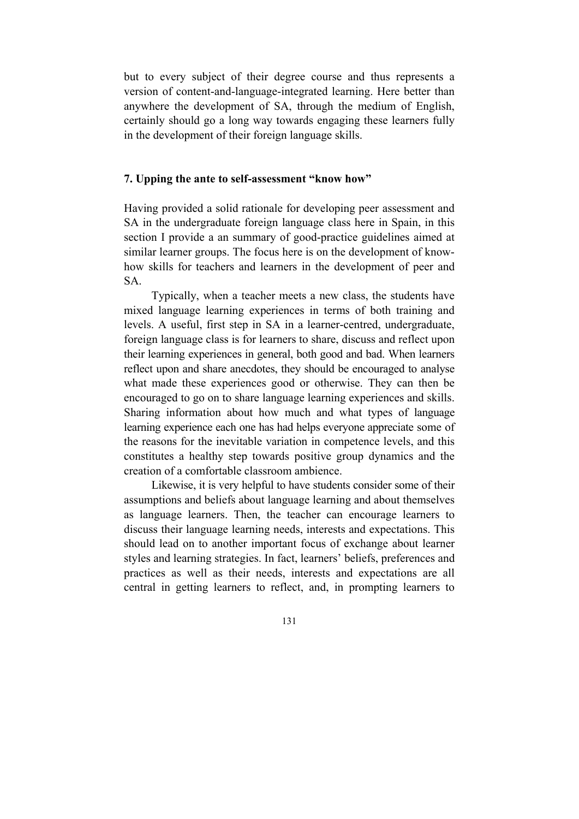but to every subject of their degree course and thus represents a version of content-and-language-integrated learning. Here better than anywhere the development of SA, through the medium of English, certainly should go a long way towards engaging these learners fully in the development of their foreign language skills.

# **7. Upping the ante to self-assessment "know how"**

Having provided a solid rationale for developing peer assessment and SA in the undergraduate foreign language class here in Spain, in this section I provide a an summary of good-practice guidelines aimed at similar learner groups. The focus here is on the development of knowhow skills for teachers and learners in the development of peer and SA.

 Typically, when a teacher meets a new class, the students have mixed language learning experiences in terms of both training and levels. A useful, first step in SA in a learner-centred, undergraduate, foreign language class is for learners to share, discuss and reflect upon their learning experiences in general, both good and bad. When learners reflect upon and share anecdotes, they should be encouraged to analyse what made these experiences good or otherwise. They can then be encouraged to go on to share language learning experiences and skills. Sharing information about how much and what types of language learning experience each one has had helps everyone appreciate some of the reasons for the inevitable variation in competence levels, and this constitutes a healthy step towards positive group dynamics and the creation of a comfortable classroom ambience.

 Likewise, it is very helpful to have students consider some of their assumptions and beliefs about language learning and about themselves as language learners. Then, the teacher can encourage learners to discuss their language learning needs, interests and expectations. This should lead on to another important focus of exchange about learner styles and learning strategies. In fact, learners' beliefs, preferences and practices as well as their needs, interests and expectations are all central in getting learners to reflect, and, in prompting learners to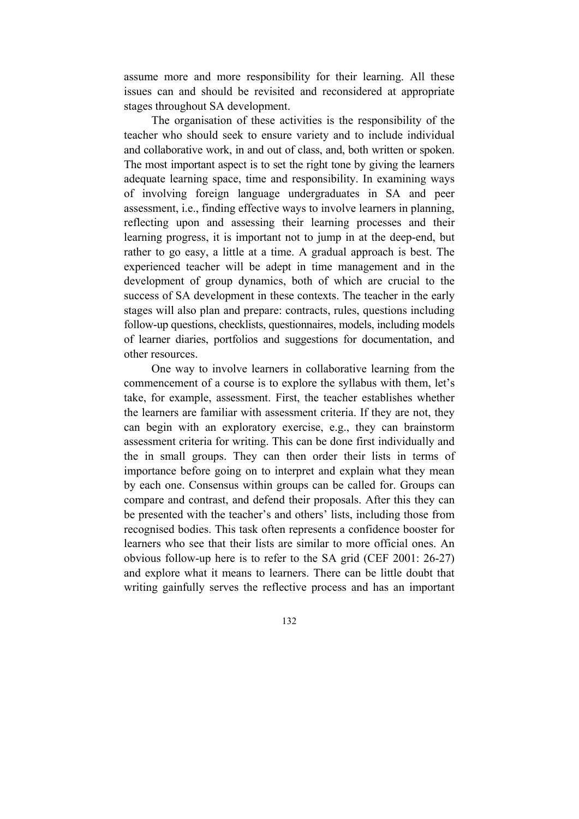assume more and more responsibility for their learning. All these issues can and should be revisited and reconsidered at appropriate stages throughout SA development.

 The organisation of these activities is the responsibility of the teacher who should seek to ensure variety and to include individual and collaborative work, in and out of class, and, both written or spoken. The most important aspect is to set the right tone by giving the learners adequate learning space, time and responsibility. In examining ways of involving foreign language undergraduates in SA and peer assessment, i.e., finding effective ways to involve learners in planning, reflecting upon and assessing their learning processes and their learning progress, it is important not to jump in at the deep-end, but rather to go easy, a little at a time. A gradual approach is best. The experienced teacher will be adept in time management and in the development of group dynamics, both of which are crucial to the success of SA development in these contexts. The teacher in the early stages will also plan and prepare: contracts, rules, questions including follow-up questions, checklists, questionnaires, models, including models of learner diaries, portfolios and suggestions for documentation, and other resources.

 One way to involve learners in collaborative learning from the commencement of a course is to explore the syllabus with them, let's take, for example, assessment. First, the teacher establishes whether the learners are familiar with assessment criteria. If they are not, they can begin with an exploratory exercise, e.g., they can brainstorm assessment criteria for writing. This can be done first individually and the in small groups. They can then order their lists in terms of importance before going on to interpret and explain what they mean by each one. Consensus within groups can be called for. Groups can compare and contrast, and defend their proposals. After this they can be presented with the teacher's and others' lists, including those from recognised bodies. This task often represents a confidence booster for learners who see that their lists are similar to more official ones. An obvious follow-up here is to refer to the SA grid (CEF 2001: 26-27) and explore what it means to learners. There can be little doubt that writing gainfully serves the reflective process and has an important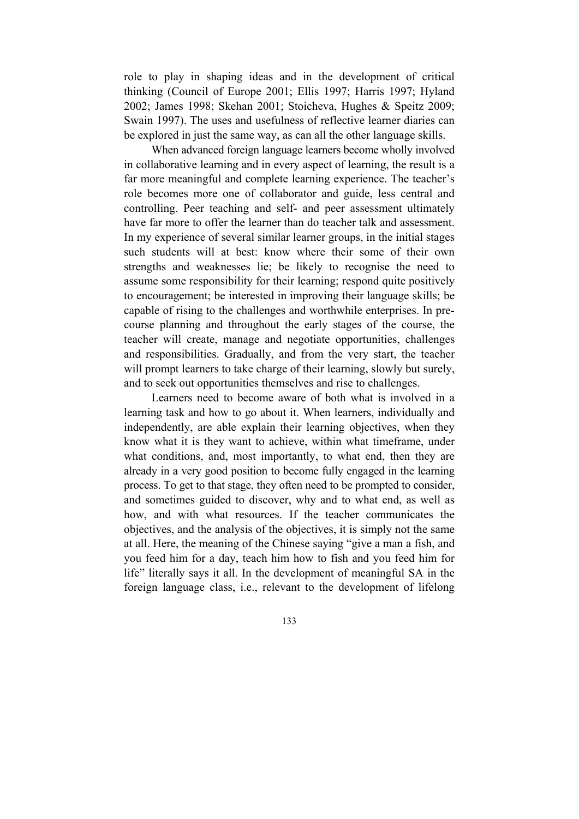role to play in shaping ideas and in the development of critical thinking (Council of Europe 2001; Ellis 1997; Harris 1997; Hyland 2002; James 1998; Skehan 2001; Stoicheva, Hughes & Speitz 2009; Swain 1997). The uses and usefulness of reflective learner diaries can be explored in just the same way, as can all the other language skills.

 When advanced foreign language learners become wholly involved in collaborative learning and in every aspect of learning, the result is a far more meaningful and complete learning experience. The teacher's role becomes more one of collaborator and guide, less central and controlling. Peer teaching and self- and peer assessment ultimately have far more to offer the learner than do teacher talk and assessment. In my experience of several similar learner groups, in the initial stages such students will at best: know where their some of their own strengths and weaknesses lie; be likely to recognise the need to assume some responsibility for their learning; respond quite positively to encouragement; be interested in improving their language skills; be capable of rising to the challenges and worthwhile enterprises. In precourse planning and throughout the early stages of the course, the teacher will create, manage and negotiate opportunities, challenges and responsibilities. Gradually, and from the very start, the teacher will prompt learners to take charge of their learning, slowly but surely, and to seek out opportunities themselves and rise to challenges.

 Learners need to become aware of both what is involved in a learning task and how to go about it. When learners, individually and independently, are able explain their learning objectives, when they know what it is they want to achieve, within what timeframe, under what conditions, and, most importantly, to what end, then they are already in a very good position to become fully engaged in the learning process. To get to that stage, they often need to be prompted to consider, and sometimes guided to discover, why and to what end, as well as how, and with what resources. If the teacher communicates the objectives, and the analysis of the objectives, it is simply not the same at all. Here, the meaning of the Chinese saying "give a man a fish, and you feed him for a day, teach him how to fish and you feed him for life" literally says it all. In the development of meaningful SA in the foreign language class, i.e., relevant to the development of lifelong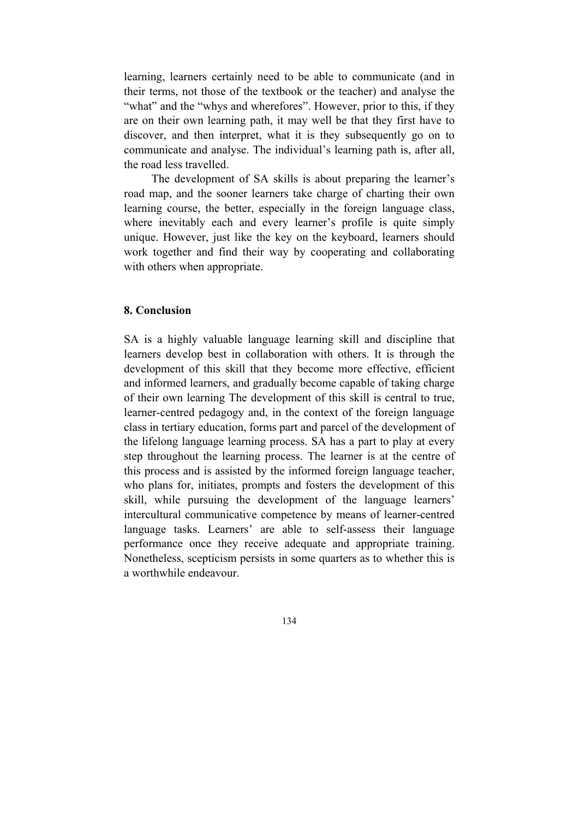learning, learners certainly need to be able to communicate (and in their terms, not those of the textbook or the teacher) and analyse the "what" and the "whys and wherefores". However, prior to this, if they are on their own learning path, it may well be that they first have to discover, and then interpret, what it is they subsequently go on to communicate and analyse. The individual's learning path is, after all, the road less travelled.

 The development of SA skills is about preparing the learner's road map, and the sooner learners take charge of charting their own learning course, the better, especially in the foreign language class, where inevitably each and every learner's profile is quite simply unique. However, just like the key on the keyboard, learners should work together and find their way by cooperating and collaborating with others when appropriate.

### **8. Conclusion**

SA is a highly valuable language learning skill and discipline that learners develop best in collaboration with others. It is through the development of this skill that they become more effective, efficient and informed learners, and gradually become capable of taking charge of their own learning The development of this skill is central to true, learner-centred pedagogy and, in the context of the foreign language class in tertiary education, forms part and parcel of the development of the lifelong language learning process. SA has a part to play at every step throughout the learning process. The learner is at the centre of this process and is assisted by the informed foreign language teacher, who plans for, initiates, prompts and fosters the development of this skill, while pursuing the development of the language learners' intercultural communicative competence by means of learner-centred language tasks. Learners' are able to self-assess their language performance once they receive adequate and appropriate training. Nonetheless, scepticism persists in some quarters as to whether this is a worthwhile endeavour.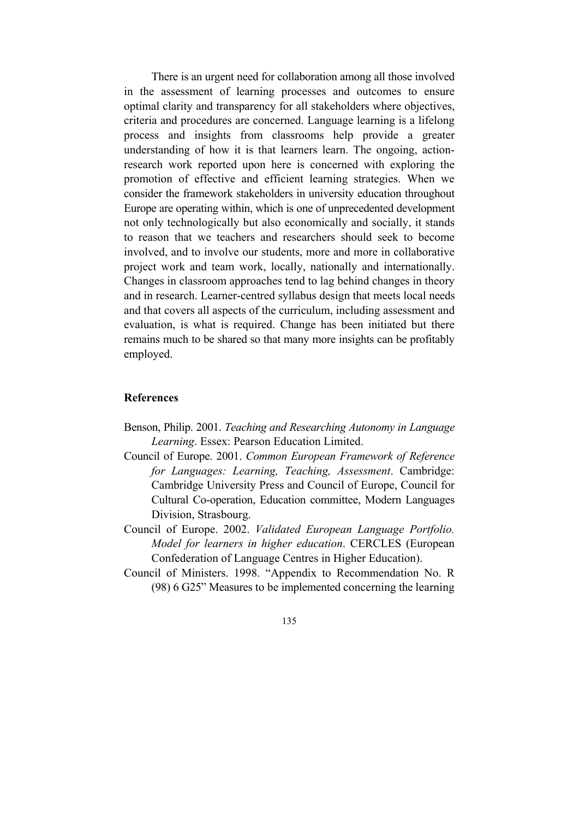There is an urgent need for collaboration among all those involved in the assessment of learning processes and outcomes to ensure optimal clarity and transparency for all stakeholders where objectives, criteria and procedures are concerned. Language learning is a lifelong process and insights from classrooms help provide a greater understanding of how it is that learners learn. The ongoing, actionresearch work reported upon here is concerned with exploring the promotion of effective and efficient learning strategies. When we consider the framework stakeholders in university education throughout Europe are operating within, which is one of unprecedented development not only technologically but also economically and socially, it stands to reason that we teachers and researchers should seek to become involved, and to involve our students, more and more in collaborative project work and team work, locally, nationally and internationally. Changes in classroom approaches tend to lag behind changes in theory and in research. Learner-centred syllabus design that meets local needs and that covers all aspects of the curriculum, including assessment and evaluation, is what is required. Change has been initiated but there remains much to be shared so that many more insights can be profitably employed.

# **References**

- Benson, Philip. 2001. *Teaching and Researching Autonomy in Language Learning*. Essex: Pearson Education Limited.
- Council of Europe. 2001. *Common European Framework of Reference for Languages: Learning, Teaching, Assessment*. Cambridge: Cambridge University Press and Council of Europe, Council for Cultural Co-operation, Education committee, Modern Languages Division, Strasbourg.
- Council of Europe. 2002. *Validated European Language Portfolio. Model for learners in higher education*. CERCLES (European Confederation of Language Centres in Higher Education).
- Council of Ministers. 1998. "Appendix to Recommendation No. R (98) 6 G25" Measures to be implemented concerning the learning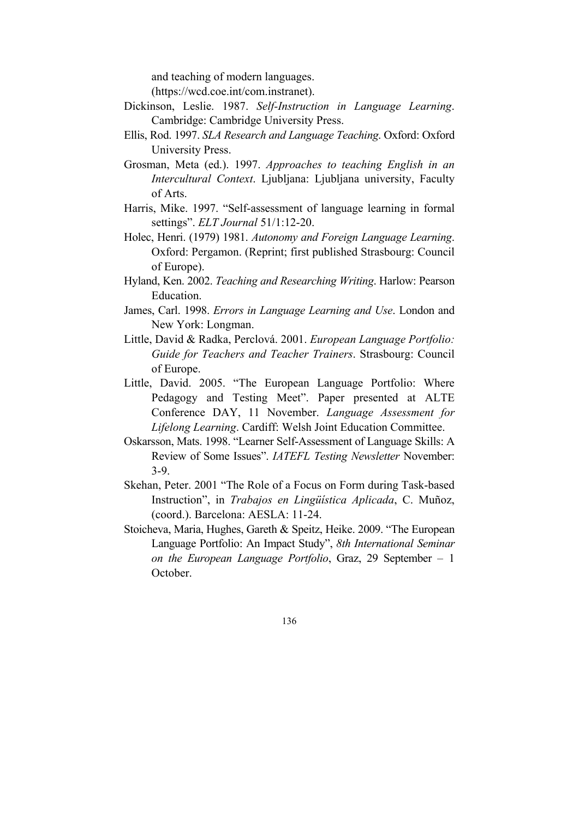and teaching of modern languages.

(https://wcd.coe.int/com.instranet).

- Dickinson, Leslie. 1987. *Self-Instruction in Language Learning*. Cambridge: Cambridge University Press.
- Ellis, Rod. 1997. *SLA Research and Language Teaching*. Oxford: Oxford University Press.
- Grosman, Meta (ed.). 1997. *Approaches to teaching English in an Intercultural Context*. Ljubljana: Ljubljana university, Faculty of Arts.
- Harris, Mike. 1997. "Self-assessment of language learning in formal settings". *ELT Journal* 51/1:12-20.
- Holec, Henri. (1979) 1981. *Autonomy and Foreign Language Learning*. Oxford: Pergamon. (Reprint; first published Strasbourg: Council of Europe).
- Hyland, Ken. 2002. *Teaching and Researching Writing*. Harlow: Pearson Education.
- James, Carl. 1998. *Errors in Language Learning and Use*. London and New York: Longman.
- Little, David & Radka, Perclová. 2001. *European Language Portfolio: Guide for Teachers and Teacher Trainers*. Strasbourg: Council of Europe.
- Little, David. 2005. "The European Language Portfolio: Where Pedagogy and Testing Meet". Paper presented at ALTE Conference DAY, 11 November. *Language Assessment for Lifelong Learning*. Cardiff: Welsh Joint Education Committee.
- Oskarsson, Mats. 1998. "Learner Self-Assessment of Language Skills: A Review of Some Issues". *IATEFL Testing Newsletter* November: 3-9.
- Skehan, Peter. 2001 "The Role of a Focus on Form during Task-based Instruction", in *Trabajos en Lingüística Aplicada*, C. Muñoz, (coord.). Barcelona: AESLA: 11-24.
- Stoicheva, Maria, Hughes, Gareth & Speitz, Heike. 2009. "The European Language Portfolio: An Impact Study", *8th International Seminar on the European Language Portfolio*, Graz, 29 September – 1 October.